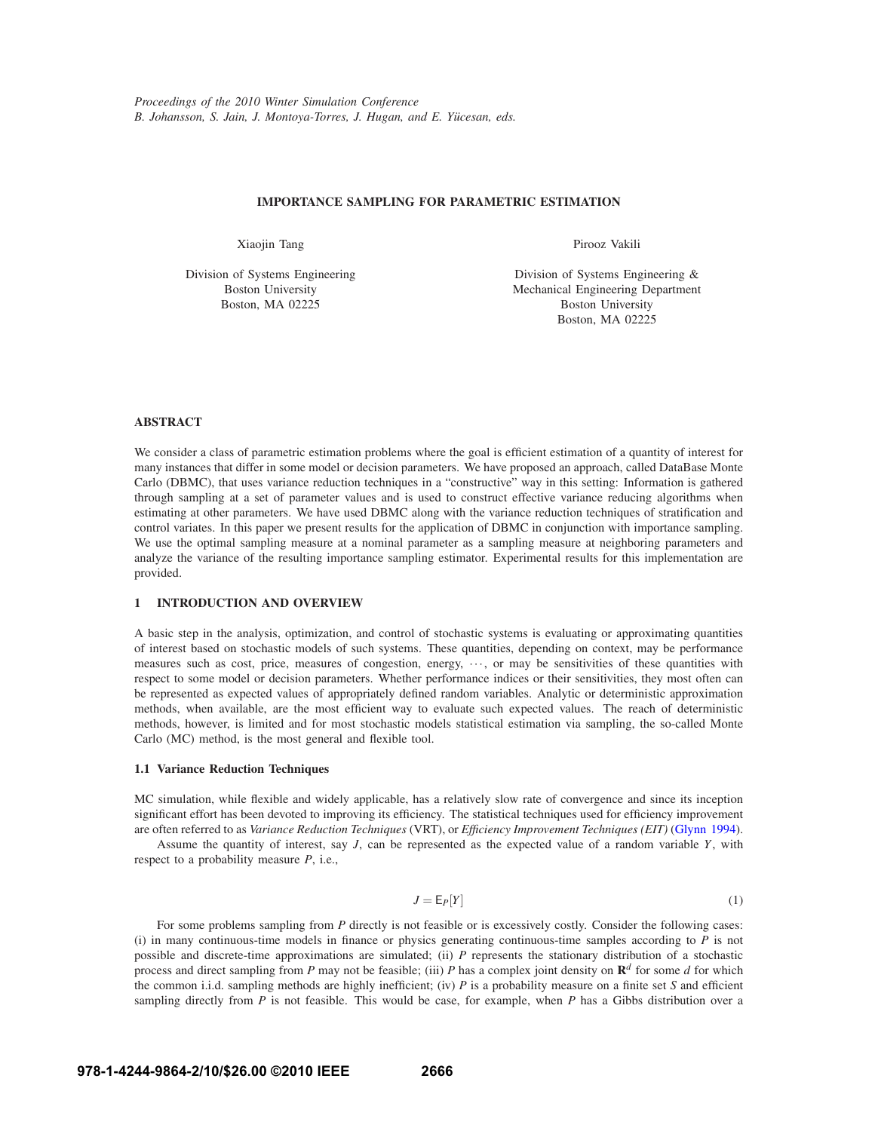## **IMPORTANCE SAMPLING FOR PARAMETRIC ESTIMATION**

Xiaojin Tang

Division of Systems Engineering Boston University Boston, MA 02225

Pirooz Vakili

Division of Systems Engineering & Mechanical Engineering Department Boston University Boston, MA 02225

# **ABSTRACT**

We consider a class of parametric estimation problems where the goal is efficient estimation of a quantity of interest for many instances that differ in some model or decision parameters. We have proposed an approach, called DataBase Monte Carlo (DBMC), that uses variance reduction techniques in a "constructive" way in this setting: Information is gathered through sampling at a set of parameter values and is used to construct effective variance reducing algorithms when estimating at other parameters. We have used DBMC along with the variance reduction techniques of stratification and control variates. In this paper we present results for the application of DBMC in conjunction with importance sampling. We use the optimal sampling measure at a nominal parameter as a sampling measure at neighboring parameters and analyze the variance of the resulting importance sampling estimator. Experimental results for this implementation are provided.

## **1 INTRODUCTION AND OVERVIEW**

A basic step in the analysis, optimization, and control of stochastic systems is evaluating or approximating quantities of interest based on stochastic models of such systems. These quantities, depending on context, may be performance measures such as cost, price, measures of congestion, energy, ..., or may be sensitivities of these quantities with respect to some model or decision parameters. Whether performance indices or their sensitivities, they most often can be represented as expected values of appropriately defined random variables. Analytic or deterministic approximation methods, when available, are the most efficient way to evaluate such expected values. The reach of deterministic methods, however, is limited and for most stochastic models statistical estimation via sampling, the so-called Monte Carlo (MC) method, is the most general and flexible tool.

## **1.1 Variance Reduction Techniques**

MC simulation, while flexible and widely applicable, has a relatively slow rate of convergence and since its inception significant effort has been devoted to improving its efficiency. The statistical techniques used for efficiency improvement are often referred to as *Variance Reduction Techniques* (VRT), or *Efficiency Improvement Techniques (EIT)* (Glynn 1994).

Assume the quantity of interest, say *J*, can be represented as the expected value of a random variable *Y*, with respect to a probability measure *P*, i.e.,

$$
J = \mathsf{E}_P[Y] \tag{1}
$$

For some problems sampling from *P* directly is not feasible or is excessively costly. Consider the following cases: (i) in many continuous-time models in finance or physics generating continuous-time samples according to  $P$  is not possible and discrete-time approximations are simulated; (ii) *P* represents the stationary distribution of a stochastic process and direct sampling from *P* may not be feasible; (iii) *P* has a complex joint density on **R***<sup>d</sup>* for some *d* for which the common i.i.d. sampling methods are highly inefficient; (iv) *P* is a probability measure on a finite set *S* and efficient sampling directly from *P* is not feasible. This would be case, for example, when *P* has a Gibbs distribution over a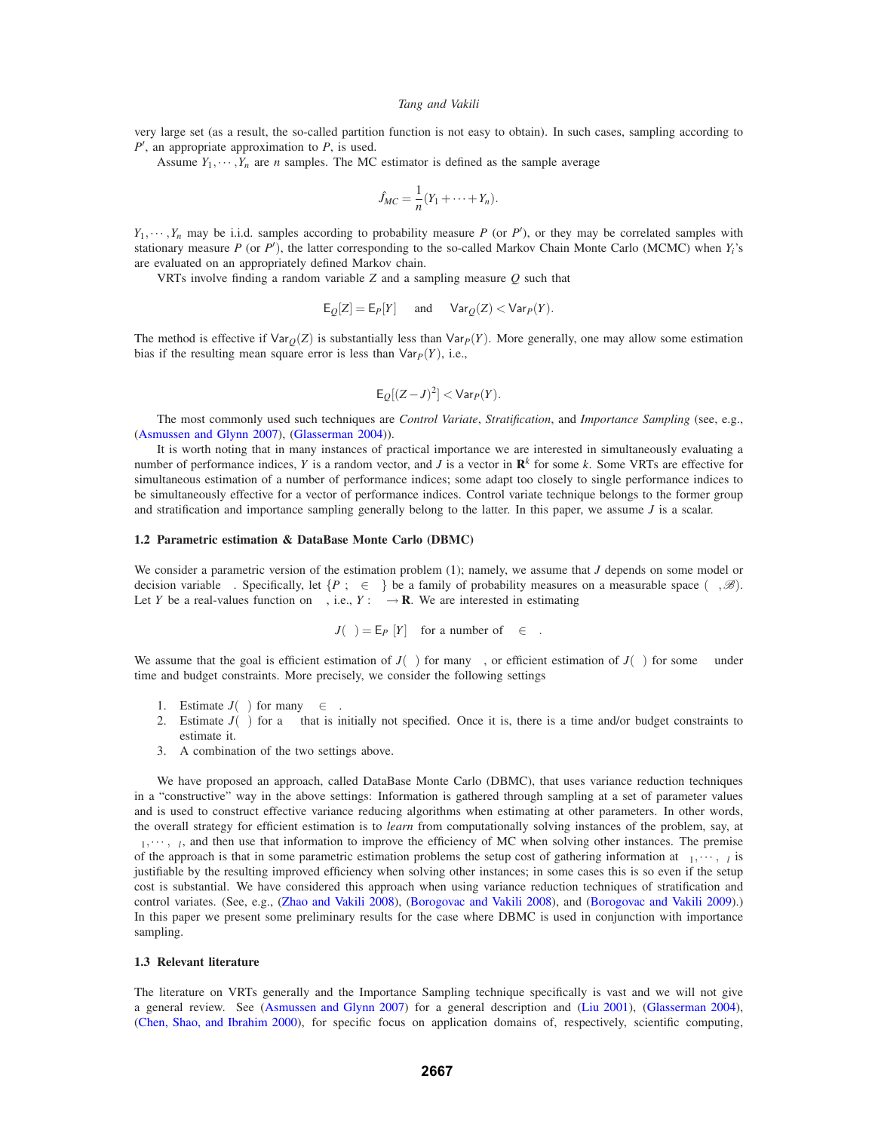very large set (as a result, the so-called partition function is not easy to obtain). In such cases, sampling according to *P*′ , an appropriate approximation to *P*, is used.

Assume  $Y_1, \dots, Y_n$  are *n* samples. The MC estimator is defined as the sample average

$$
\hat{J}_{MC} = \frac{1}{n}(Y_1 + \cdots + Y_n).
$$

 $Y_1, \dots, Y_n$  may be i.i.d. samples according to probability measure *P* (or *P*<sup>'</sup>), or they may be correlated samples with stationary measure *P* (or *P*′ ), the latter corresponding to the so-called Markov Chain Monte Carlo (MCMC) when *Yi*'s are evaluated on an appropriately defined Markov chain.

VRTs involve finding a random variable *Z* and a sampling measure *Q* such that

$$
E_Q[Z] = E_P[Y]
$$
 and  $Var_Q(Z) < Var_P(Y)$ .

The method is effective if  $\text{Var}_O(Z)$  is substantially less than  $\text{Var}_P(Y)$ . More generally, one may allow some estimation bias if the resulting mean square error is less than  $Var<sub>P</sub>(Y)$ , i.e.,

$$
\mathsf{E}_{Q}[(Z-J)^{2}] < \mathsf{Var}_{P}(Y).
$$

The most commonly used such techniques are *Control Variate*, *Stratification*, and *Importance Sampling* (see, e.g., (Asmussen and Glynn 2007), (Glasserman 2004)).

It is worth noting that in many instances of practical importance we are interested in simultaneously evaluating a number of performance indices, *Y* is a random vector, and *J* is a vector in  $\mathbb{R}^k$  for some *k*. Some VRTs are effective for simultaneous estimation of a number of performance indices; some adapt too closely to single performance indices to be simultaneously effective for a vector of performance indices. Control variate technique belongs to the former group and stratification and importance sampling generally belong to the latter. In this paper, we assume *J* is a scalar.

## **1.2 Parametric estimation & DataBase Monte Carlo (DBMC)**

We consider a parametric version of the estimation problem (1); namely, we assume that *J* depends on some model or decision variable  $\theta$ . Specifically, let  $\{P_{\theta} : \theta \in \Theta\}$  be a family of probability measures on a measurable space  $(\Omega, \mathscr{B})$ . Let *Y* be a real-values function on  $\Omega$ , i.e.,  $Y : \Omega \to \mathbf{R}$ . We are interested in estimating

$$
J(\theta) = \mathsf{E}_{P_{\theta}}[Y] \quad \text{for a number of } \theta \in \Theta.
$$

We assume that the goal is efficient estimation of  $J(\theta)$  for many  $\theta$ , or efficient estimation of  $J(\theta)$  for some  $\theta$  under time and budget constraints. More precisely, we consider the following settings

- 1. Estimate  $J(\theta)$  for many  $\theta \in \Theta$ .
- 2. Estimate  $J(\theta)$  for a  $\theta$  that is initially not specified. Once it is, there is a time and/or budget constraints to estimate it.
- 3. A combination of the two settings above.

We have proposed an approach, called DataBase Monte Carlo (DBMC), that uses variance reduction techniques in a "constructive" way in the above settings: Information is gathered through sampling at a set of parameter values and is used to construct effective variance reducing algorithms when estimating at other parameters. In other words, the overall strategy for efficient estimation is to *learn* from computationally solving instances of the problem, say, at  $\theta_1, \dots, \theta_l$ , and then use that information to improve the efficiency of MC when solving other instances. The premise of the approach is that in some parametric estimation problems the setup cost of gathering information at  $\theta_1,\dots,\theta_l$  is justifiable by the resulting improved efficiency when solving other instances; in some cases this is so even if the setup cost is substantial. We have considered this approach when using variance reduction techniques of stratification and control variates. (See, e.g., (Zhao and Vakili 2008), (Borogovac and Vakili 2008), and (Borogovac and Vakili 2009).) In this paper we present some preliminary results for the case where DBMC is used in conjunction with importance sampling.

## **1.3 Relevant literature**

The literature on VRTs generally and the Importance Sampling technique specifically is vast and we will not give a general review. See (Asmussen and Glynn 2007) for a general description and (Liu 2001), (Glasserman 2004), (Chen, Shao, and Ibrahim 2000), for specific focus on application domains of, respectively, scientific computing,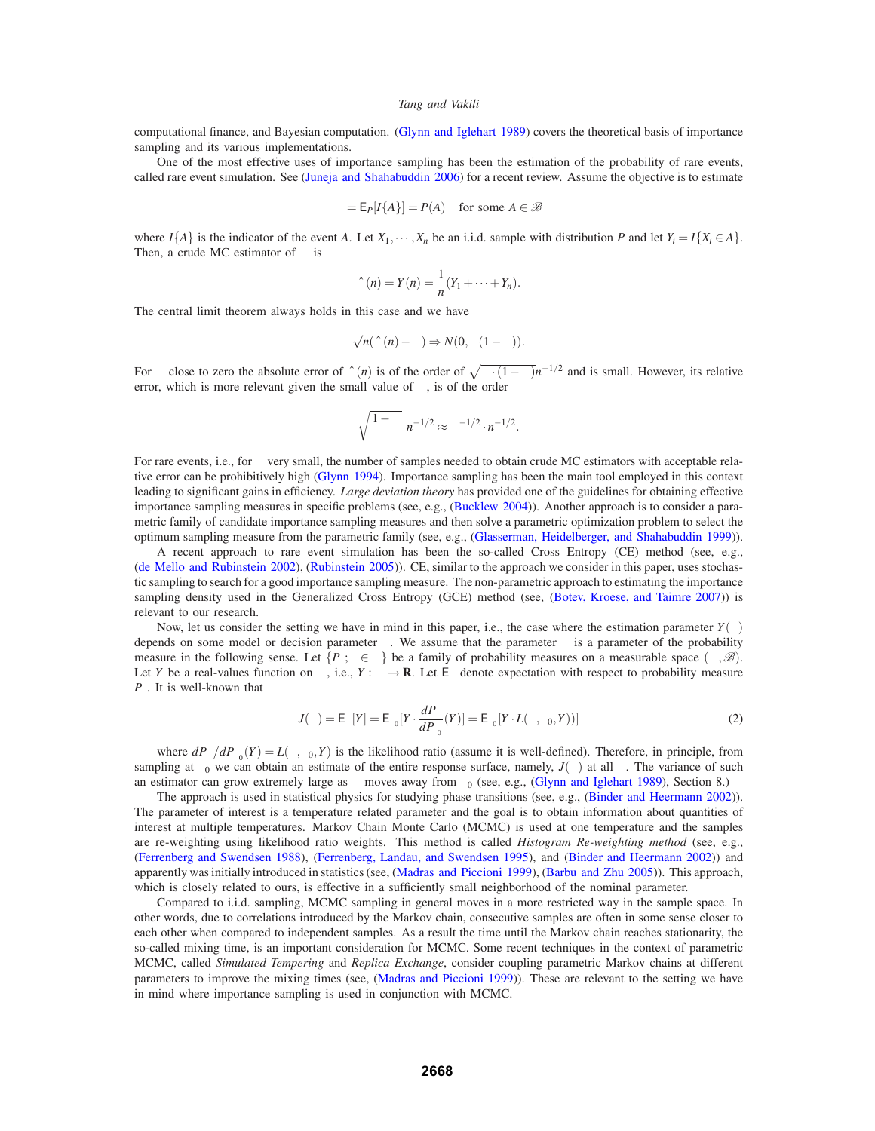computational finance, and Bayesian computation. (Glynn and Iglehart 1989) covers the theoretical basis of importance sampling and its various implementations.

One of the most effective uses of importance sampling has been the estimation of the probability of rare events, called rare event simulation. See (Juneja and Shahabuddin 2006) for a recent review. Assume the objective is to estimate

$$
\alpha = \mathsf{E}_P[I\{A\}] = P(A) \quad \text{for some } A \in \mathcal{B}
$$

where  $I\{A\}$  is the indicator of the event *A*. Let  $X_1, \dots, X_n$  be an i.i.d. sample with distribution *P* and let  $Y_i = I\{X_i \in A\}$ . Then, a crude MC estimator of  $\alpha$  is

$$
\hat{\alpha}(n) = \overline{Y}(n) = \frac{1}{n}(Y_1 + \cdots + Y_n).
$$

The central limit theorem always holds in this case and we have

$$
\sqrt{n}(\hat{\alpha}(n)-\alpha) \Rightarrow N(0, \alpha(1-\alpha)).
$$

For  $\alpha$  close to zero the absolute error of  $\hat{\alpha}(n)$  is of the order of  $\sqrt{\alpha \cdot (1-\alpha)}n^{-1/2}$  and is small. However, its relative error, which is more relevant given the small value of  $\alpha$ , is of the order

$$
\sqrt{\frac{1-\alpha}{\alpha}} n^{-1/2} \approx \alpha^{-1/2} \cdot n^{-1/2}.
$$

For rare events, i.e., for  $\alpha$  very small, the number of samples needed to obtain crude MC estimators with acceptable relative error can be prohibitively high (Glynn 1994). Importance sampling has been the main tool employed in this context leading to significant gains in efficiency. *Large deviation theory* has provided one of the guidelines for obtaining effective importance sampling measures in specific problems (see, e.g., (Bucklew 2004)). Another approach is to consider a parametric family of candidate importance sampling measures and then solve a parametric optimization problem to select the optimum sampling measure from the parametric family (see, e.g., (Glasserman, Heidelberger, and Shahabuddin 1999)).

A recent approach to rare event simulation has been the so-called Cross Entropy (CE) method (see, e.g., (de Mello and Rubinstein 2002), (Rubinstein 2005)). CE, similar to the approach we consider in this paper, uses stochastic sampling to search for a good importance sampling measure. The non-parametric approach to estimating the importance sampling density used in the Generalized Cross Entropy (GCE) method (see, (Botev, Kroese, and Taimre 2007)) is relevant to our research.

Now, let us consider the setting we have in mind in this paper, i.e., the case where the estimation parameter  $Y(\theta)$ depends on some model or decision parameter  $\theta$ . We assume that the parameter  $\theta$  is a parameter of the probability measure in the following sense. Let  $\{P_\theta: \theta \in \Theta\}$  be a family of probability measures on a measurable space  $(\Omega, \mathscr{B})$ . Let *Y* be a real-values function on  $\Omega$ , i.e.,  $Y : \Omega \to \mathbb{R}$ . Let  $E_{\theta}$  denote expectation with respect to probability measure  $P_{\theta}$ . It is well-known that

$$
J(\theta) = \mathsf{E}_{\theta}[Y] = \mathsf{E}_{\theta_0}[Y \cdot \frac{dP_{\theta}}{dP_{\theta_0}}(Y)] = \mathsf{E}_{\theta_0}[Y \cdot L(\theta, \theta_0, Y))]
$$
(2)

where  $dP_{\theta}/dP_{\theta_0}(Y) = L(\theta, \theta_0, Y)$  is the likelihood ratio (assume it is well-defined). Therefore, in principle, from sampling at  $\theta_0$  we can obtain an estimate of the entire response surface, namely,  $J(\theta)$  at all  $\theta$ . The variance of such an estimator can grow extremely large as  $\theta$  moves away from  $\theta_0$  (see, e.g., (Glynn and Iglehart 1989), Section 8.)

The approach is used in statistical physics for studying phase transitions (see, e.g., (Binder and Heermann 2002)). The parameter of interest is a temperature related parameter and the goal is to obtain information about quantities of interest at multiple temperatures. Markov Chain Monte Carlo (MCMC) is used at one temperature and the samples are re-weighting using likelihood ratio weights. This method is called *Histogram Re-weighting method* (see, e.g., (Ferrenberg and Swendsen 1988), (Ferrenberg, Landau, and Swendsen 1995), and (Binder and Heermann 2002)) and apparently was initially introduced in statistics (see, (Madras and Piccioni 1999), (Barbu and Zhu 2005)). This approach, which is closely related to ours, is effective in a sufficiently small neighborhood of the nominal parameter.

Compared to i.i.d. sampling, MCMC sampling in general moves in a more restricted way in the sample space. In other words, due to correlations introduced by the Markov chain, consecutive samples are often in some sense closer to each other when compared to independent samples. As a result the time until the Markov chain reaches stationarity, the so-called mixing time, is an important consideration for MCMC. Some recent techniques in the context of parametric MCMC, called *Simulated Tempering* and *Replica Exchange*, consider coupling parametric Markov chains at different parameters to improve the mixing times (see, (Madras and Piccioni 1999)). These are relevant to the setting we have in mind where importance sampling is used in conjunction with MCMC.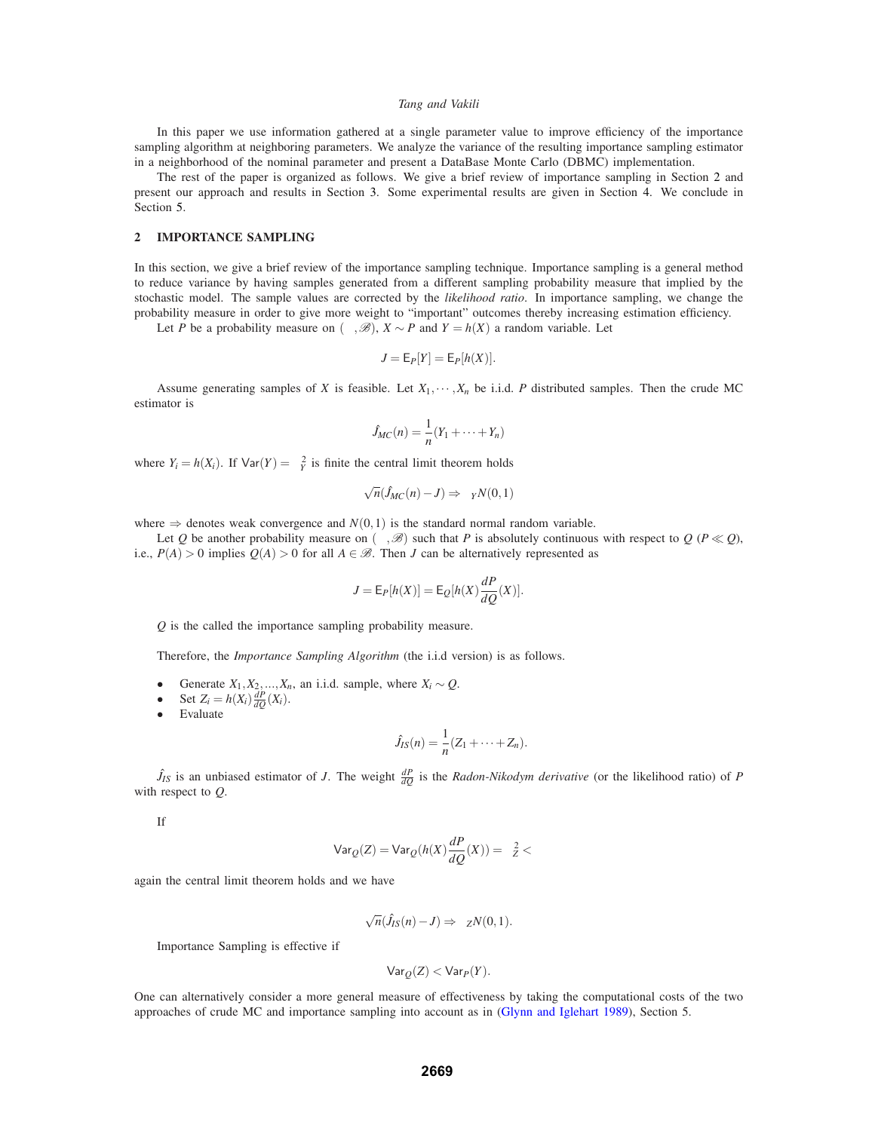In this paper we use information gathered at a single parameter value to improve efficiency of the importance sampling algorithm at neighboring parameters. We analyze the variance of the resulting importance sampling estimator in a neighborhood of the nominal parameter and present a DataBase Monte Carlo (DBMC) implementation.

The rest of the paper is organized as follows. We give a brief review of importance sampling in Section 2 and present our approach and results in Section 3. Some experimental results are given in Section 4. We conclude in Section 5.

## **2 IMPORTANCE SAMPLING**

In this section, we give a brief review of the importance sampling technique. Importance sampling is a general method to reduce variance by having samples generated from a different sampling probability measure that implied by the stochastic model. The sample values are corrected by the *likelihood ratio*. In importance sampling, we change the probability measure in order to give more weight to "important" outcomes thereby increasing estimation efficiency.

Let *P* be a probability measure on  $(\Omega, \mathcal{B})$ ,  $X \sim P$  and  $Y = h(X)$  a random variable. Let

$$
J = \mathsf{E}_P[Y] = \mathsf{E}_P[h(X)].
$$

Assume generating samples of *X* is feasible. Let  $X_1, \dots, X_n$  be i.i.d. *P* distributed samples. Then the crude MC estimator is

$$
\hat{J}_{MC}(n) = \frac{1}{n}(Y_1 + \dots + Y_n)
$$

where  $Y_i = h(X_i)$ . If  $Var(Y) = \sigma_Y^2$  is finite the central limit theorem holds

$$
\sqrt{n}(\hat{J}_{MC}(n) - J) \Rightarrow \sigma_Y N(0, 1)
$$

where  $\Rightarrow$  denotes weak convergence and  $N(0,1)$  is the standard normal random variable.

Let *Q* be another probability measure on  $(\Omega, \mathcal{B})$  such that *P* is absolutely continuous with respect to *Q* ( $P \ll Q$ ), i.e.,  $P(A) > 0$  implies  $Q(A) > 0$  for all  $A \in \mathcal{B}$ . Then *J* can be alternatively represented as

$$
J = \mathsf{E}_P[h(X)] = \mathsf{E}_Q[h(X)\frac{dP}{dQ}(X)].
$$

*Q* is the called the importance sampling probability measure.

Therefore, the *Importance Sampling Algorithm* (the i.i.d version) is as follows.

- Generate *X*<sub>1</sub>, *X*<sub>2</sub>, ..., *X<sub>n</sub>*, an i.i.d. sample, where *X<sub>i</sub>* ∼ *Q*.<br>• Set *Z<sub>i</sub>* = *h*(*X*<sub>i</sub>)<sup> $\frac{dP}{dx}(X_i)$ .</sup>
- Set  $Z_i = h(X_i) \frac{dP}{dQ}(X_i)$ .
- Evaluate

$$
\hat{J}_{IS}(n)=\frac{1}{n}(Z_1+\cdots+Z_n).
$$

 $\hat{J}_{IS}$  is an unbiased estimator of *J*. The weight  $\frac{dP}{dQ}$  is the *Radon-Nikodym derivative* (or the likelihood ratio) of *P* with respect to *Q*.

If

$$
\text{Var}_Q(Z) = \text{Var}_Q(h(X)\frac{dP}{dQ}(X)) = \sigma_Z^2 < \infty
$$

again the central limit theorem holds and we have

$$
\sqrt{n}(\hat{J}_{IS}(n)-J)\Rightarrow \sigma_Z N(0,1).
$$

Importance Sampling is effective if

$$
\mathsf{Var}_{Q}(Z) < \mathsf{Var}_{P}(Y).
$$

One can alternatively consider a more general measure of effectiveness by taking the computational costs of the two approaches of crude MC and importance sampling into account as in (Glynn and Iglehart 1989), Section 5.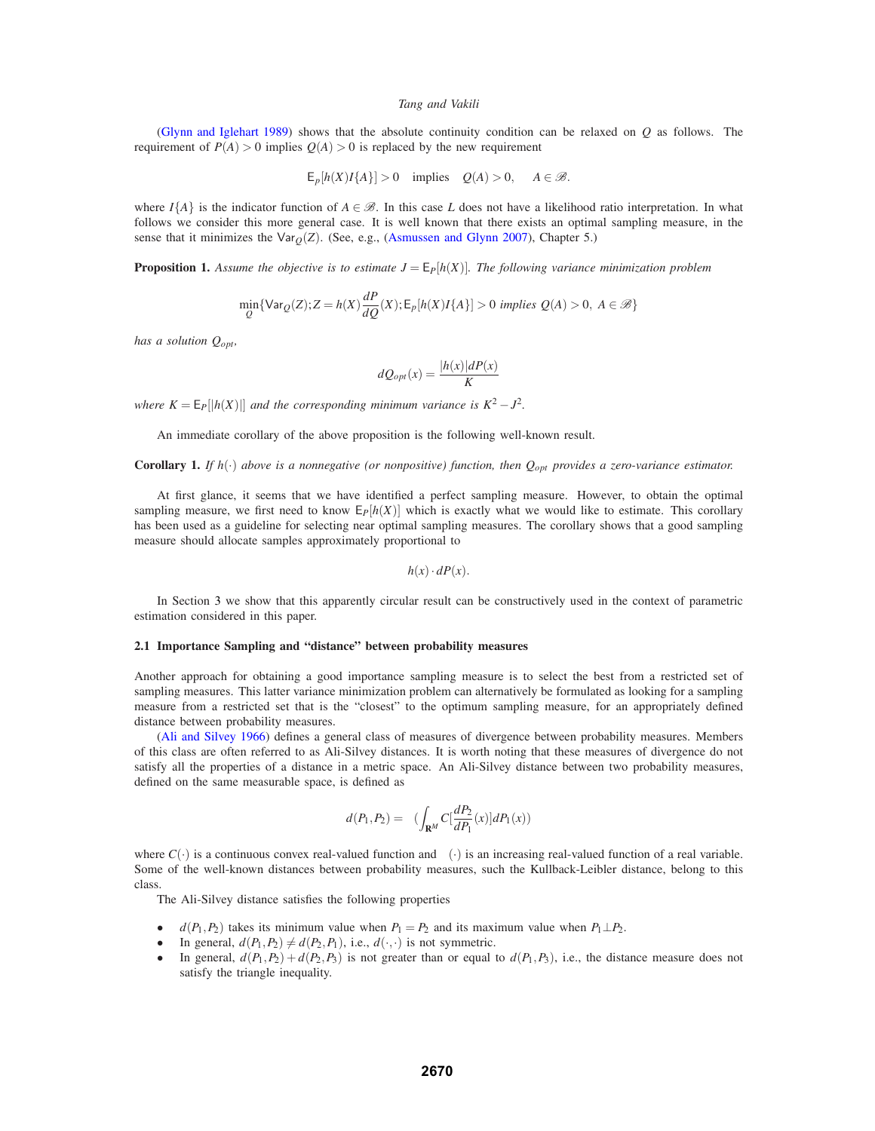(Glynn and Iglehart 1989) shows that the absolute continuity condition can be relaxed on *Q* as follows. The requirement of  $P(A) > 0$  implies  $O(A) > 0$  is replaced by the new requirement

$$
E_p[h(X)I{A}] > 0
$$
 implies  $Q(A) > 0$ ,  $A \in \mathcal{B}$ .

where  $I{A}$  is the indicator function of  $A \in \mathcal{B}$ . In this case *L* does not have a likelihood ratio interpretation. In what follows we consider this more general case. It is well known that there exists an optimal sampling measure, in the sense that it minimizes the Var $<sub>O</sub>(Z)$ . (See, e.g., (Asmussen and Glynn 2007), Chapter 5.)</sub>

**Proposition 1.** Assume the objective is to estimate  $J = E_P[h(X)]$ . The following variance minimization problem

$$
\min_{Q} \{ \text{Var}_{Q}(Z); Z = h(X) \frac{dP}{dQ}(X); \mathsf{E}_{p}[h(X)I\{A\}] > 0 \text{ implies } Q(A) > 0, A \in \mathcal{B} \}
$$

*has a solution Qopt,*

$$
dQ_{opt}(x) = \frac{|h(x)|dP(x)}{K}
$$

*where*  $K = E_P[|h(X)|]$  *and the corresponding minimum variance is*  $K^2 - J^2$ *.* 

An immediate corollary of the above proposition is the following well-known result.

# **Corollary 1.** *If*  $h(\cdot)$  *above is a nonnegative (or nonpositive) function, then*  $Q_{opt}$  *provides a zero-variance estimator.*

At first glance, it seems that we have identified a perfect sampling measure. However, to obtain the optimal sampling measure, we first need to know  $E_P[h(X)]$  which is exactly what we would like to estimate. This corollary has been used as a guideline for selecting near optimal sampling measures. The corollary shows that a good sampling measure should allocate samples approximately proportional to

$$
h(x)\cdot dP(x).
$$

In Section 3 we show that this apparently circular result can be constructively used in the context of parametric estimation considered in this paper.

## **2.1 Importance Sampling and "distance" between probability measures**

Another approach for obtaining a good importance sampling measure is to select the best from a restricted set of sampling measures. This latter variance minimization problem can alternatively be formulated as looking for a sampling measure from a restricted set that is the "closest" to the optimum sampling measure, for an appropriately defined distance between probability measures.

(Ali and Silvey 1966) defines a general class of measures of divergence between probability measures. Members of this class are often referred to as Ali-Silvey distances. It is worth noting that these measures of divergence do not satisfy all the properties of a distance in a metric space. An Ali-Silvey distance between two probability measures, defined on the same measurable space, is defined as

$$
d(P_1, P_2) = \phi\left(\int_{\mathbf{R}^M} C\left[\frac{dP_2}{dP_1}(x)\right] dP_1(x)\right)
$$

where  $C(\cdot)$  is a continuous convex real-valued function and  $\phi(\cdot)$  is an increasing real-valued function of a real variable. Some of the well-known distances between probability measures, such the Kullback-Leibler distance, belong to this class.

The Ali-Silvey distance satisfies the following properties

- *d*( $P_1, P_2$ ) takes its minimum value when  $P_1 = P_2$  and its maximum value when  $P_1 \perp P_2$ .
- In general,  $d(P_1, P_2) \neq d(P_2, P_1)$ , i.e.,  $d(\cdot, \cdot)$  is not symmetric.<br>• In general,  $d(P_1, P_2) + d(P_2, P_3)$  is not greater than or equal t
- In general,  $d(P_1, P_2) + d(P_2, P_3)$  is not greater than or equal to  $d(P_1, P_3)$ , i.e., the distance measure does not satisfy the triangle inequality.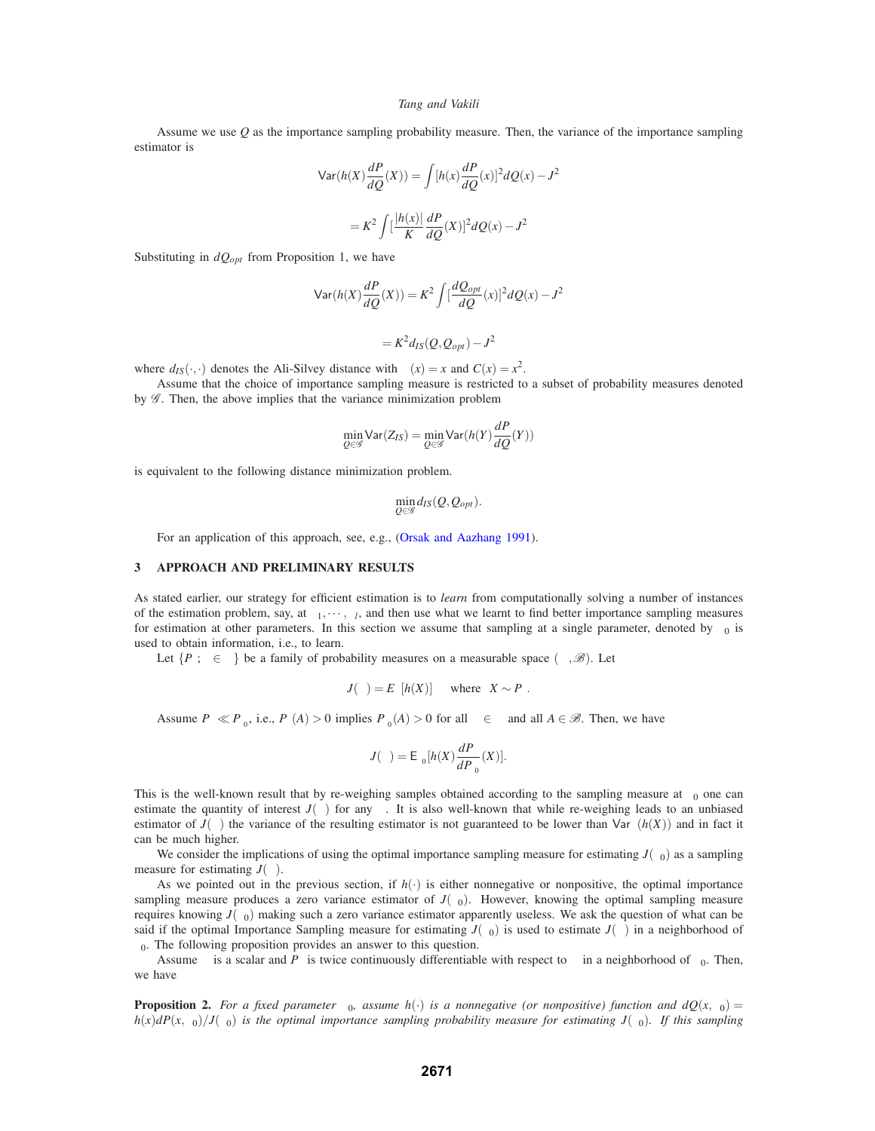Assume we use *Q* as the importance sampling probability measure. Then, the variance of the importance sampling estimator is

$$
\begin{aligned} \n\text{Var}(h(X)\frac{dP}{dQ}(X)) &= \int [h(x)\frac{dP}{dQ}(x)]^2 dQ(x) - J^2 \\ \n&= K^2 \int \left[\frac{|h(x)|}{K}\frac{dP}{dQ}(X)\right]^2 dQ(x) - J^2 \n\end{aligned}
$$

Substituting in  $dQ_{opt}$  from Proposition 1, we have

$$
\operatorname{Var}(h(X)\frac{dP}{dQ}(X)) = K^2 \int \left[\frac{dQ_{opt}}{dQ}(x)\right]^2 dQ(x) - J^2
$$

$$
= K^2 d_{IS}(Q, Q_{opt}) - J^2
$$

where  $d_{IS}(\cdot, \cdot)$  denotes the Ali-Silvey distance with  $\phi(x) = x$  and  $C(x) = x^2$ .

Assume that the choice of importance sampling measure is restricted to a subset of probability measures denoted by  $G$ . Then, the above implies that the variance minimization problem

$$
\min_{Q \in \mathscr{G}} \text{Var}(Z_{IS}) = \min_{Q \in \mathscr{G}} \text{Var}(h(Y) \frac{dP}{dQ}(Y))
$$

is equivalent to the following distance minimization problem.

$$
\min_{Q\in\mathscr{G}}d_{IS}(Q,Q_{opt}).
$$

For an application of this approach, see, e.g., (Orsak and Aazhang 1991).

### **3 APPROACH AND PRELIMINARY RESULTS**

As stated earlier, our strategy for efficient estimation is to *learn* from computationally solving a number of instances of the estimation problem, say, at  $\theta_1, \dots, \theta_l$ , and then use what we learnt to find better importance sampling measures for estimation at other parameters. In this section we assume that sampling at a single parameter, denoted by  $\theta_0$  is used to obtain information, i.e., to learn.

Let  $\{P_\theta; \theta \in \Theta\}$  be a family of probability measures on a measurable space  $(\Omega, \mathscr{B})$ . Let

$$
J(\theta) = E_{\theta}[h(X)] \quad \text{where} \quad X \sim P_{\theta}.
$$

Assume  $P_{\theta} \ll P_{\theta_0}$ , i.e.,  $P_{\theta}(A) > 0$  implies  $P_{\theta_0}(A) > 0$  for all  $\theta \in \Theta$  and all  $A \in \mathcal{B}$ . Then, we have

$$
J(\theta) = \mathsf{E}_{\theta_0}[h(X)\frac{dP_{\theta}}{dP_{\theta_0}}(X)].
$$

This is the well-known result that by re-weighing samples obtained according to the sampling measure at  $\theta_0$  one can estimate the quantity of interest  $J(\theta)$  for any  $\theta$ . It is also well-known that while re-weighing leads to an unbiased estimator of  $J(\theta)$  the variance of the resulting estimator is not guaranteed to be lower than  $\text{Var}_{\theta}(h(X))$  and in fact it can be much higher.

We consider the implications of using the optimal importance sampling measure for estimating  $J(\theta_0)$  as a sampling measure for estimating  $J(\theta)$ .

As we pointed out in the previous section, if  $h(\cdot)$  is either nonnegative or nonpositive, the optimal importance sampling measure produces a zero variance estimator of  $J(\theta_0)$ . However, knowing the optimal sampling measure requires knowing  $J(\theta_0)$  making such a zero variance estimator apparently useless. We ask the question of what can be said if the optimal Importance Sampling measure for estimating  $J(\theta_0)$  is used to estimate  $J(\theta)$  in a neighborhood of  $\theta_0$ . The following proposition provides an answer to this question.

Assume  $\theta$  is a scalar and  $P_{\theta}$  is twice continuously differentiable with respect to  $\theta$  in a neighborhood of  $\theta_0$ . Then, we have

**Proposition 2.** *For a fixed parameter*  $\theta_0$ *, assume*  $h(\cdot)$  *is a nonnegative (or nonpositive) function and*  $dQ(x, \theta_0)$  $h(x)$ *dP*( $x$ ,  $\theta$ <sub>0</sub>)/*J*( $\theta$ <sub>0</sub>) *is the optimal importance sampling probability measure for estimating <i>J*( $\theta$ <sub>0</sub>). *If this sampling*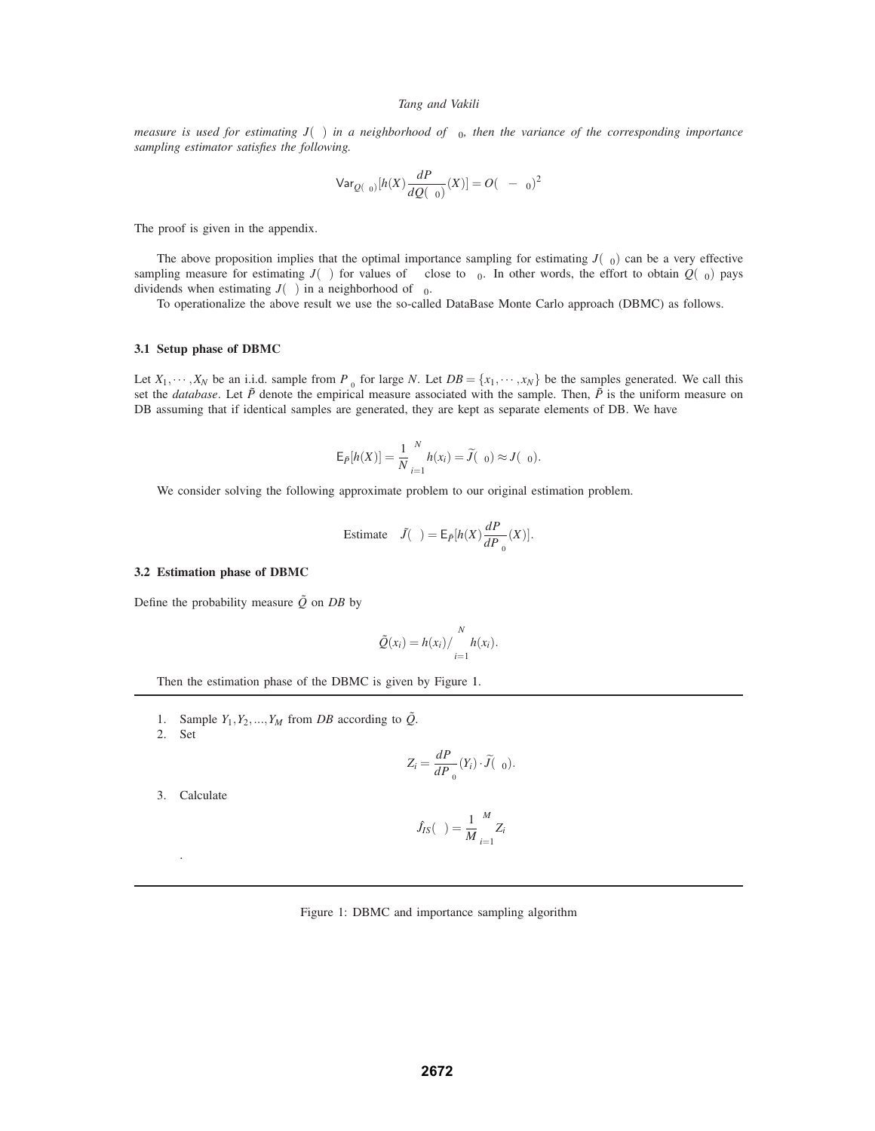*measure is used for estimating*  $J(\theta)$  *in a neighborhood of*  $\theta_0$ *, then the variance of the corresponding importance sampling estimator satisfies the following.*

$$
\text{Var}_{\mathcal{Q}(\theta_0)}[h(X)\frac{dP_{\theta}}{dQ(\theta_0)}(X)]=O(\theta-\theta_0)^2
$$

The proof is given in the appendix.

The above proposition implies that the optimal importance sampling for estimating  $J(\theta_0)$  can be a very effective sampling measure for estimating  $J(\theta)$  for values of  $\theta$  close to  $\theta_0$ . In other words, the effort to obtain  $Q(\theta_0)$  pays dividends when estimating  $J(\theta)$  in a neighborhood of  $\theta_0$ .

To operationalize the above result we use the so-called DataBase Monte Carlo approach (DBMC) as follows.

### **3.1 Setup phase of DBMC**

Let  $X_1, \dots, X_N$  be an i.i.d. sample from  $P_{\theta_0}$  for large *N*. Let  $DB = \{x_1, \dots, x_N\}$  be the samples generated. We call this set the *database*. Let  $\tilde{P}$  denote the empirical measure associated with the sample. Then,  $\tilde{P}$  is the uniform measure on DB assuming that if identical samples are generated, they are kept as separate elements of DB. We have

$$
E_{\tilde{P}}[h(X)] = \frac{1}{N} \sum_{i=1}^{N} h(x_i) = \tilde{J}(\theta_0) \approx J(\theta_0).
$$

We consider solving the following approximate problem to our original estimation problem.

Estimate 
$$
\tilde{J}(\theta) = \mathsf{E}_{\tilde{P}}[h(X)\frac{dP_{\theta}}{dP_{\theta_0}}(X)].
$$

## **3.2 Estimation phase of DBMC**

Define the probability measure  $\tilde{Q}$  on *DB* by

$$
\tilde{Q}(x_i) = h(x_i) / \sum_{i=1}^N h(x_i).
$$

Then the estimation phase of the DBMC is given by Figure 1.

- 1. Sample  $Y_1, Y_2, \ldots, Y_M$  from *DB* according to  $\tilde{Q}$ .
- 2. Set

$$
Z_i = \frac{dP_{\theta}}{dP_{\theta_0}}(Y_i) \cdot \widetilde{J}(\theta_0).
$$

3. Calculate

.

$$
\hat{J}_{IS}(\theta) = \frac{1}{M} \sum_{i=1}^{M} Z_i
$$

|  |  | Figure 1: DBMC and importance sampling algorithm |  |
|--|--|--------------------------------------------------|--|
|  |  |                                                  |  |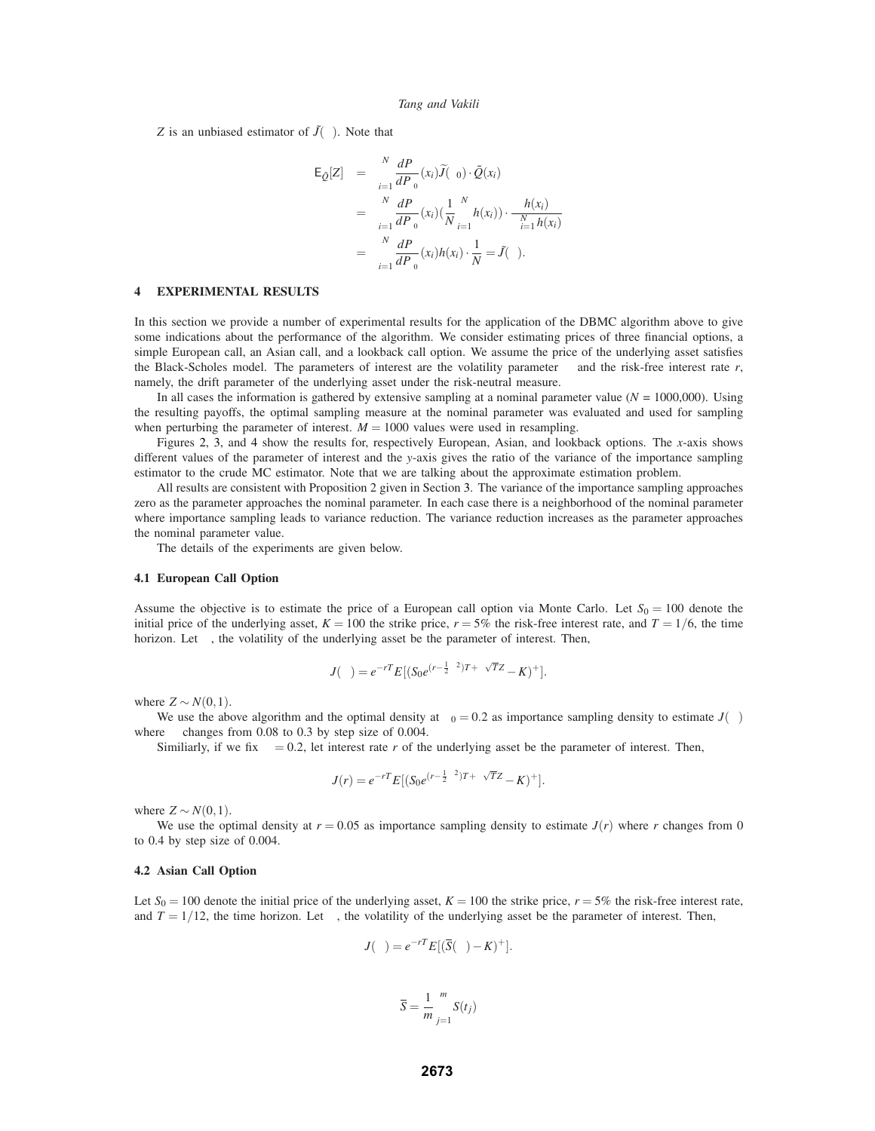*Z* is an unbiased estimator of  $\tilde{J}(\theta)$ . Note that

$$
\begin{array}{rcl} \mathsf{E}_{\tilde{\mathcal{Q}}}[Z] & = & \sum\limits_{i=1}^N \frac{dP_{\theta}}{dP_{\theta_0}}(x_i)\tilde{J}(\theta_0) \cdot \tilde{\mathcal{Q}}(x_i) \\ & = & \sum\limits_{i=1}^N \frac{dP_{\theta}}{dP_{\theta_0}}(x_i) \left(\frac{1}{N} \sum\limits_{i=1}^N h(x_i)\right) \cdot \frac{h(x_i)}{\sum_{i=1}^N h(x_i)} \\ & = & \sum\limits_{i=1}^N \frac{dP_{\theta}}{dP_{\theta_0}}(x_i)h(x_i) \cdot \frac{1}{N} = \tilde{J}(\theta). \end{array}
$$

# **4 EXPERIMENTAL RESULTS**

In this section we provide a number of experimental results for the application of the DBMC algorithm above to give some indications about the performance of the algorithm. We consider estimating prices of three financial options, a simple European call, an Asian call, and a lookback call option. We assume the price of the underlying asset satisfies the Black-Scholes model. The parameters of interest are the volatility parameter  $\sigma$  and the risk-free interest rate  $r$ , namely, the drift parameter of the underlying asset under the risk-neutral measure.

In all cases the information is gathered by extensive sampling at a nominal parameter value ( $N = 1000,000$ ). Using the resulting payoffs, the optimal sampling measure at the nominal parameter was evaluated and used for sampling when perturbing the parameter of interest.  $M = 1000$  values were used in resampling.

Figures 2, 3, and 4 show the results for, respectively European, Asian, and lookback options. The *x*-axis shows different values of the parameter of interest and the *y*-axis gives the ratio of the variance of the importance sampling estimator to the crude MC estimator. Note that we are talking about the approximate estimation problem.

All results are consistent with Proposition 2 given in Section 3. The variance of the importance sampling approaches zero as the parameter approaches the nominal parameter. In each case there is a neighborhood of the nominal parameter where importance sampling leads to variance reduction. The variance reduction increases as the parameter approaches the nominal parameter value.

The details of the experiments are given below.

### **4.1 European Call Option**

Assume the objective is to estimate the price of a European call option via Monte Carlo. Let  $S_0 = 100$  denote the initial price of the underlying asset,  $K = 100$  the strike price,  $r = 5%$  the risk-free interest rate, and  $T = 1/6$ , the time horizon. Let  $\sigma$ , the volatility of the underlying asset be the parameter of interest. Then,

$$
J(\sigma) = e^{-rT} E[(S_0 e^{(r-\frac{1}{2}\sigma^2)T + \sigma\sqrt{T}Z} - K)^+].
$$

where  $Z \sim N(0,1)$ .

We use the above algorithm and the optimal density at  $\sigma_0 = 0.2$  as importance sampling density to estimate  $J(\sigma)$ where  $\sigma$  changes from 0.08 to 0.3 by step size of 0.004.

Similiarly, if we fix  $\sigma = 0.2$ , let interest rate *r* of the underlying asset be the parameter of interest. Then,

$$
J(r) = e^{-rT} E[(S_0 e^{(r-\frac{1}{2}\sigma^2)T + \sigma\sqrt{T}Z} - K)^+].
$$

where  $Z \sim N(0,1)$ .

We use the optimal density at  $r = 0.05$  as importance sampling density to estimate  $J(r)$  where *r* changes from 0 to 0.4 by step size of 0.004.

# **4.2 Asian Call Option**

Let  $S_0 = 100$  denote the initial price of the underlying asset,  $K = 100$  the strike price,  $r = 5\%$  the risk-free interest rate, and  $T = 1/12$ , the time horizon. Let  $\sigma$ , the volatility of the underlying asset be the parameter of interest. Then,

$$
J(\sigma) = e^{-rT} E[(\overline{S}(\sigma) - K)^+].
$$

$$
\overline{S} = \frac{1}{m} \sum_{j=1}^{m} S(t_j)
$$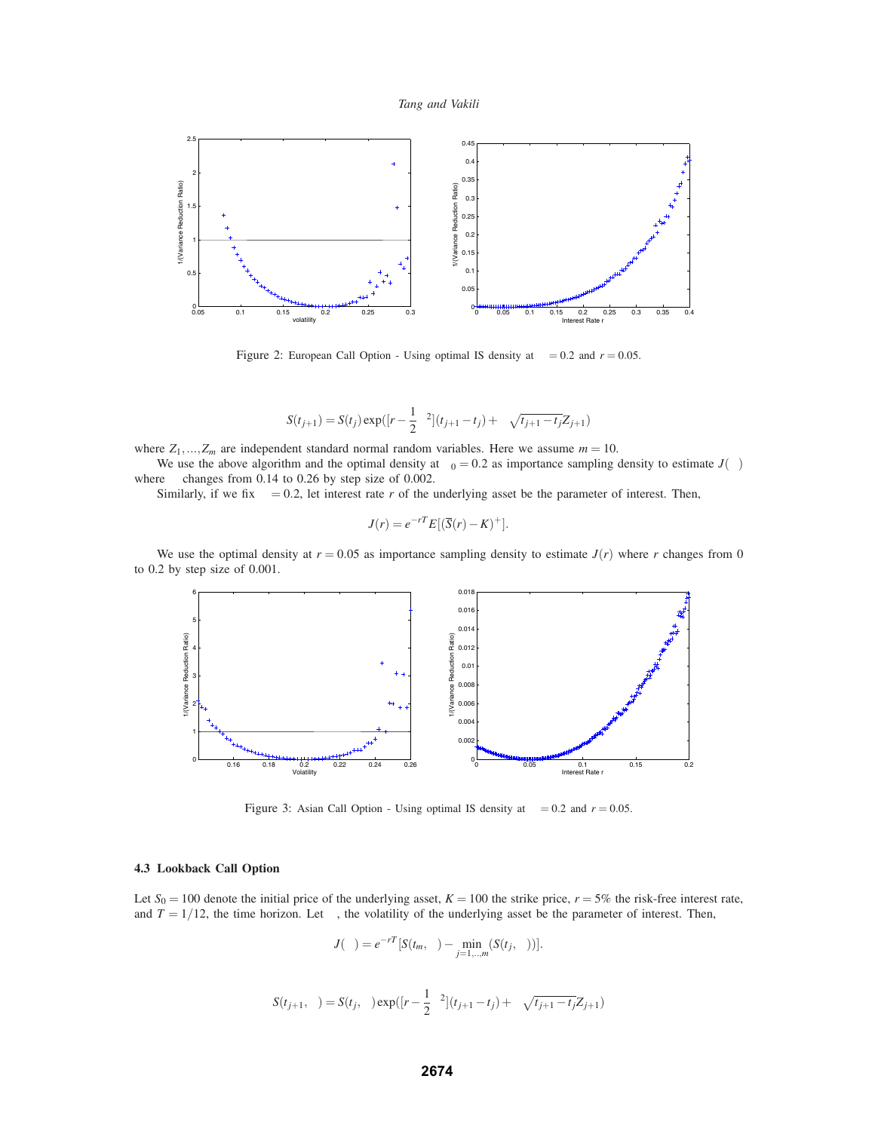



Figure 2: European Call Option - Using optimal IS density at  $\sigma = 0.2$  and  $r = 0.05$ .

$$
S(t_{j+1}) = S(t_j) \exp([r - \frac{1}{2}\sigma^2](t_{j+1} - t_j) + \sigma \sqrt{t_{j+1} - t_j} Z_{j+1})
$$

where  $Z_1, ..., Z_m$  are independent standard normal random variables. Here we assume  $m = 10$ .

We use the above algorithm and the optimal density at  $\sigma_0 = 0.2$  as importance sampling density to estimate  $J(\sigma)$ where  $\sigma$  changes from 0.14 to 0.26 by step size of 0.002.

Similarly, if we fix  $\sigma = 0.2$ , let interest rate *r* of the underlying asset be the parameter of interest. Then,

$$
J(r) = e^{-rT} E[(\overline{S}(r) - K)^+].
$$

We use the optimal density at  $r = 0.05$  as importance sampling density to estimate  $J(r)$  where *r* changes from 0 to 0.2 by step size of 0.001.



Figure 3: Asian Call Option - Using optimal IS density at  $\sigma = 0.2$  and  $r = 0.05$ .

# **4.3 Lookback Call Option**

Let  $S_0 = 100$  denote the initial price of the underlying asset,  $K = 100$  the strike price,  $r = 5\%$  the risk-free interest rate, and  $T = 1/12$ , the time horizon. Let  $\sigma$ , the volatility of the underlying asset be the parameter of interest. Then,

$$
J(\sigma) = e^{-rT} [S(t_m, \sigma) - \min_{j=1,\dots,m} (S(t_j, \sigma))].
$$

$$
S(t_{j+1}, \sigma) = S(t_j, \sigma) \exp([r - \frac{1}{2}\sigma^2](t_{j+1} - t_j) + \sigma \sqrt{t_{j+1} - t_j} Z_{j+1})
$$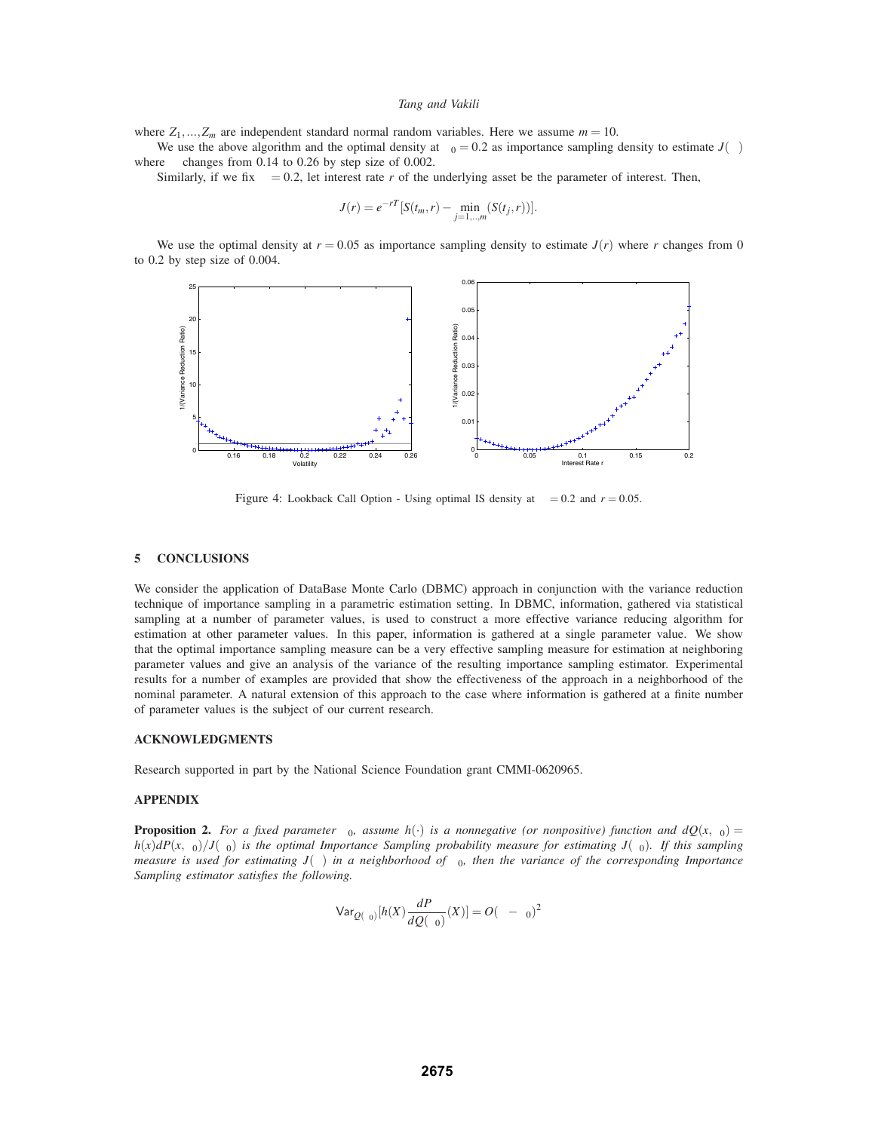where  $Z_1$ ,..., $Z_m$  are independent standard normal random variables. Here we assume  $m = 10$ .

We use the above algorithm and the optimal density at  $\sigma_0 = 0.2$  as importance sampling density to estimate  $J(\sigma)$ where  $\sigma$  changes from 0.14 to 0.26 by step size of 0.002.

Similarly, if we fix  $\sigma = 0.2$ , let interest rate *r* of the underlying asset be the parameter of interest. Then,

$$
J(r) = e^{-rT} [S(t_m, r) - \min_{j=1,\dots,m} (S(t_j, r))].
$$

We use the optimal density at  $r = 0.05$  as importance sampling density to estimate  $J(r)$  where r changes from 0 to 0.2 by step size of 0.004.



Figure 4: Lookback Call Option - Using optimal IS density at  $\sigma = 0.2$  and  $r = 0.05$ .

## **5 CONCLUSIONS**

We consider the application of DataBase Monte Carlo (DBMC) approach in conjunction with the variance reduction technique of importance sampling in a parametric estimation setting. In DBMC, information, gathered via statistical sampling at a number of parameter values, is used to construct a more effective variance reducing algorithm for estimation at other parameter values. In this paper, information is gathered at a single parameter value. We show that the optimal importance sampling measure can be a very effective sampling measure for estimation at neighboring parameter values and give an analysis of the variance of the resulting importance sampling estimator. Experimental results for a number of examples are provided that show the effectiveness of the approach in a neighborhood of the nominal parameter. A natural extension of this approach to the case where information is gathered at a finite number of parameter values is the subject of our current research.

# **ACKNOWLEDGMENTS**

Research supported in part by the National Science Foundation grant CMMI-0620965.

## **APPENDIX**

**Proposition 2.** *For a fixed parameter*  $\theta_0$ *, assume*  $h(\cdot)$  *is a nonnegative (or nonpositive) function and*  $dQ(x, \theta_0)$  $h(x)$ *dP*( $x$ ,  $\theta$ <sub>0</sub>)/*J*( $\theta$ <sub>0</sub>) *is the optimal Importance Sampling probability measure for estimating J*( $\theta$ <sub>0</sub>)*. If this sampling measure is used for estimating*  $J(\theta)$  *in a neighborhood of*  $\theta_0$ *, then the variance of the corresponding Importance Sampling estimator satisfies the following.*

$$
\text{Var}_{Q(\theta_0)}[h(X)\frac{dP_{\theta}}{dQ(\theta_0)}(X)] = O(\theta - \theta_0)^2
$$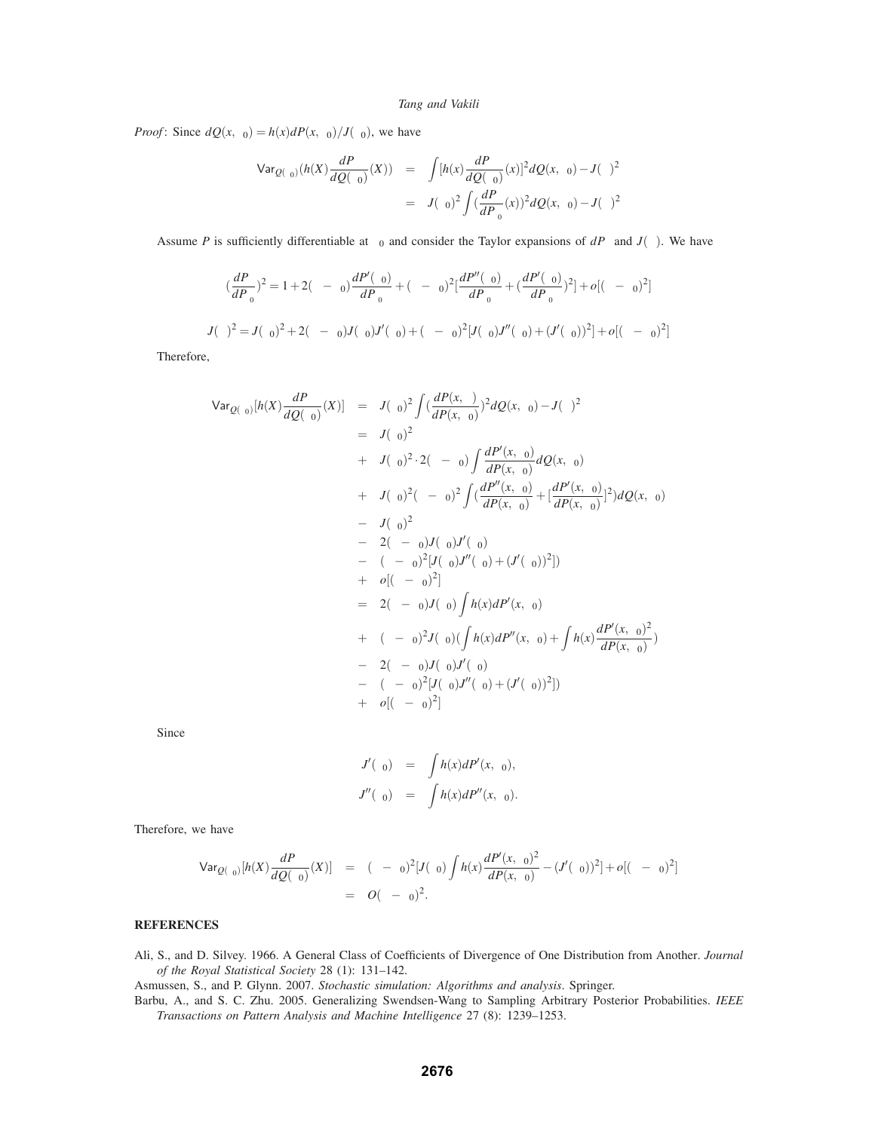*Proof*: Since  $dQ(x, \theta_0) = h(x) dP(x, \theta_0)/J(\theta_0)$ , we have

$$
\begin{array}{rcl}\n\text{Var}_{Q(\theta_0)}(h(X)\frac{dP_{\theta}}{dQ(\theta_0)}(X)) & = & \displaystyle{\int}[h(x)\frac{dP_{\theta}}{dQ(\theta_0)}(x)]^2dQ(x,\theta_0) - J(\theta)^2 \\
& = & J(\theta_0)^2 \displaystyle{\int} \big(\frac{dP_{\theta}}{dP_{\theta_0}}(x)\big)^2dQ(x,\theta_0) - J(\theta)^2\n\end{array}
$$

Assume *P* is sufficiently differentiable at  $\theta_0$  and consider the Taylor expansions of  $dP_\theta$  and  $J(\theta)$ . We have

$$
(\frac{dP_{\theta}}{dP_{\theta_0}})^2 = 1 + 2(\theta - \theta_0) \frac{dP'(\theta_0)}{dP_{\theta_0}} + (\theta - \theta_0)^2 \left[ \frac{dP''(\theta_0)}{dP_{\theta_0}} + \left( \frac{dP'(\theta_0)}{dP_{\theta_0}} \right)^2 \right] + o[(\theta - \theta_0)^2]
$$

$$
J(\theta)^2 = J(\theta_0)^2 + 2(\theta - \theta_0)J(\theta_0)J'(\theta_0) + (\theta - \theta_0)^2[J(\theta_0)J''(\theta_0) + (J'(\theta_0))^2] + o[(\theta - \theta_0)^2]
$$

Therefore,

$$
Var_{Q(\theta_{0})}[h(X)\frac{dP_{\theta}}{dQ(\theta_{0})}(X)] = J(\theta_{0})^{2} \int (\frac{dP(x,\theta)}{dP(x,\theta_{0})})^{2} dQ(x,\theta_{0}) - J(\theta)^{2}
$$
  
\n
$$
= J(\theta_{0})^{2}
$$
  
\n
$$
+ J(\theta_{0})^{2} \cdot 2(\theta - \theta_{0}) \int \frac{dP'(x,\theta_{0})}{dP(x,\theta_{0})} dQ(x,\theta_{0})
$$
  
\n
$$
+ J(\theta_{0})^{2} (\theta - \theta_{0})^{2} \int (\frac{dP''(x,\theta_{0})}{dP(x,\theta_{0})} + \frac{dP'(x,\theta_{0})}{dP(x,\theta_{0})}]^{2}) dQ(x,\theta_{0})
$$
  
\n
$$
- J(\theta_{0})^{2}
$$
  
\n
$$
- 2(\theta - \theta_{0})J(\theta_{0})J'(\theta_{0})
$$
  
\n
$$
- (\theta - \theta_{0})^{2} [J(\theta_{0})J''(\theta_{0}) + (J'(\theta_{0}))^{2}])
$$
  
\n
$$
+ o[(\theta - \theta_{0})^{2}]
$$
  
\n
$$
= 2(\theta - \theta_{0})J(\theta_{0}) \int h(x) dP'(x,\theta_{0})
$$
  
\n
$$
+ (\theta - \theta_{0})^{2}J(\theta_{0}) (\int h(x) dP''(x,\theta_{0}) + \int h(x) \frac{dP'(x,\theta_{0})^{2}}{dP(x,\theta_{0})})
$$
  
\n
$$
- 2(\theta - \theta_{0})J(\theta_{0})J'(\theta_{0})
$$
  
\n
$$
- (\theta - \theta_{0})^{2} [J(\theta_{0})J''(\theta_{0}) + (J'(\theta_{0}))^{2}])
$$
  
\n
$$
+ o[(\theta - \theta_{0})^{2}]
$$

Since

$$
J'(\theta_0) = \int h(x)dP'(x,\theta_0),
$$
  

$$
J''(\theta_0) = \int h(x)dP''(x,\theta_0).
$$

Therefore, we have

$$
\begin{array}{rcl}\n\text{Var}_{Q(\theta_0)}[h(X)\frac{dP_{\theta}}{dQ(\theta_0)}(X)] & = & (\theta - \theta_0)^2 [J(\theta_0) \int h(x) \frac{dP'(x, \theta_0)^2}{dP(x, \theta_0)} - (J'(\theta_0))^2] + o[(\theta - \theta_0)^2] \\
& = & O(\theta - \theta_0)^2.\n\end{array}
$$

# **REFERENCES**

Ali, S., and D. Silvey. 1966. A General Class of Coefficients of Divergence of One Distribution from Another. *Journal of the Royal Statistical Society* 28 (1): 131–142.

Asmussen, S., and P. Glynn. 2007. *Stochastic simulation: Algorithms and analysis*. Springer.

Barbu, A., and S. C. Zhu. 2005. Generalizing Swendsen-Wang to Sampling Arbitrary Posterior Probabilities. *IEEE Transactions on Pattern Analysis and Machine Intelligence* 27 (8): 1239–1253.